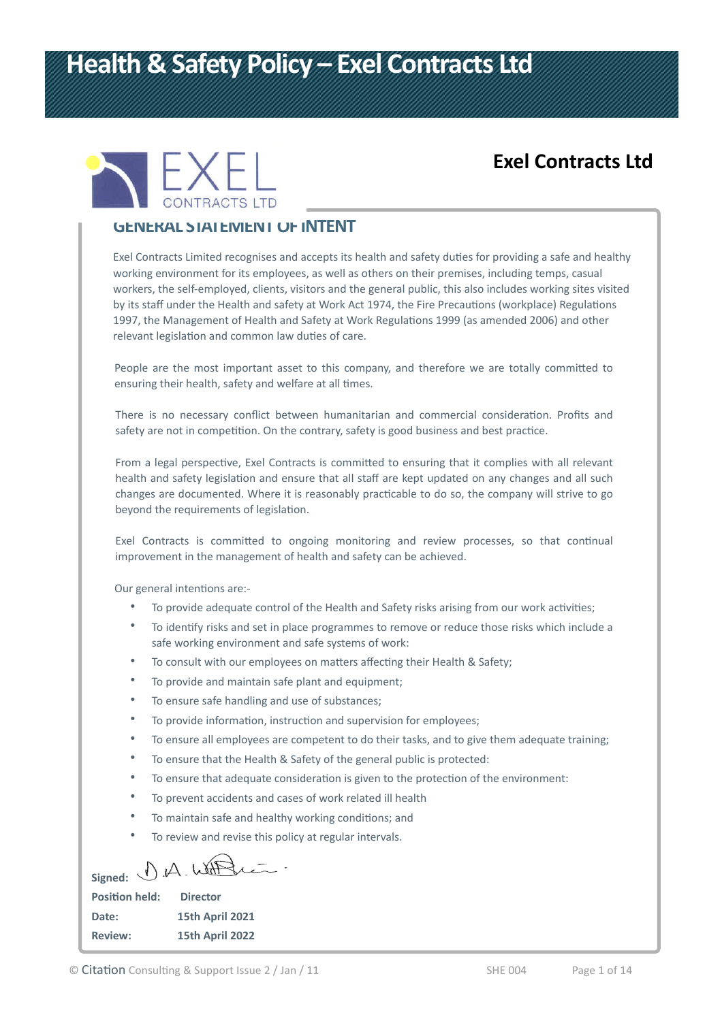# **Health & Safety Policy – Exel Contracts Ltd**



## **Exel Contracts Ltd**

#### **GENERAL STATEMENT OF INTENT**

Exel Contracts Limited recognises and accepts its health and safety duties for providing a safe and healthy working environment for its employees, as well as others on their premises, including temps, casual workers, the self-employed, clients, visitors and the general public, this also includes working sites visited by its staff under the Health and safety at Work Act 1974, the Fire Precautions (workplace) Regulations 1997, the Management of Health and Safety at Work Regulations 1999 (as amended 2006) and other relevant legislation and common law duties of care.

People are the most important asset to this company, and therefore we are totally committed to ensuring their health, safety and welfare at all times.

There is no necessary conflict between humanitarian and commercial consideration. Profits and safety are not in competition. On the contrary, safety is good business and best practice.

From a legal perspective, Exel Contracts is committed to ensuring that it complies with all relevant health and safety legislation and ensure that all staff are kept updated on any changes and all such changes are documented. Where it is reasonably practicable to do so, the company will strive to go beyond the requirements of legislation.

Exel Contracts is committed to ongoing monitoring and review processes, so that continual improvement in the management of health and safety can be achieved.

Our general intentions are:-

- To provide adequate control of the Health and Safety risks arising from our work activities;
- To identify risks and set in place programmes to remove or reduce those risks which include a safe working environment and safe systems of work:
- To consult with our employees on matters affecting their Health & Safety;
- To provide and maintain safe plant and equipment;
- To ensure safe handling and use of substances;
- To provide information, instruction and supervision for employees;
- To ensure all employees are competent to do their tasks, and to give them adequate training;
- To ensure that the Health & Safety of the general public is protected:
- To ensure that adequate consideration is given to the protection of the environment:
- To prevent accidents and cases of work related ill health
- To maintain safe and healthy working conditions; and
- To review and revise this policy at regular intervals.

Signed: D.A. With

| <b>Position held:</b> | <b>Director</b>        |
|-----------------------|------------------------|
| Date:                 | <b>15th April 2021</b> |
| <b>Review:</b>        | 15th April 2022        |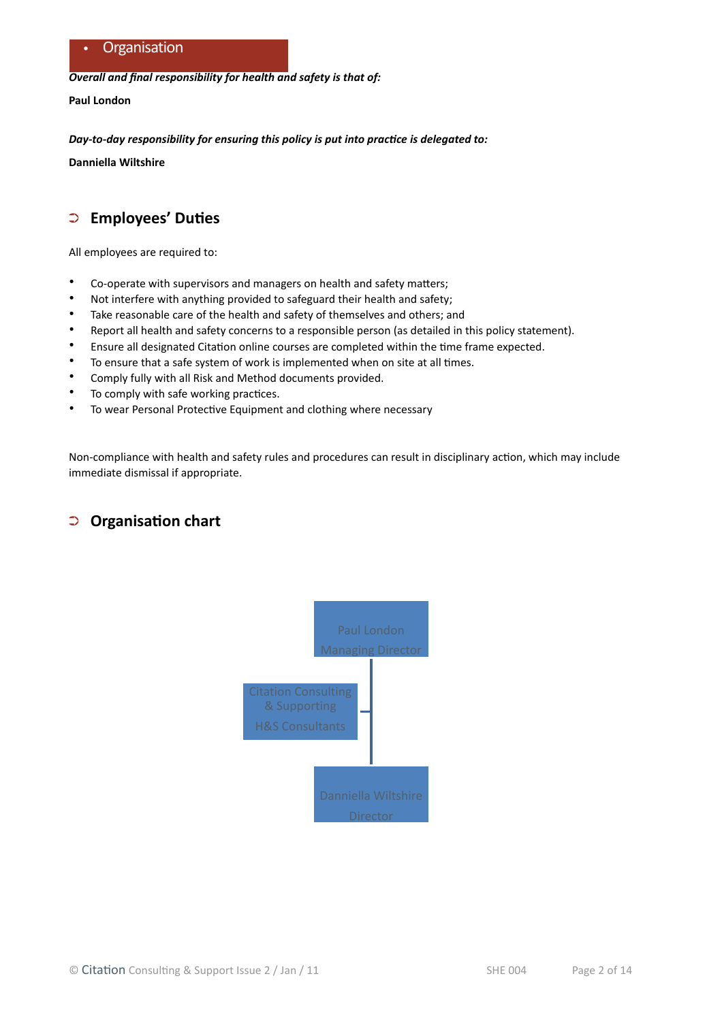*Overall and final responsibility for health and safety is that of:*

**Paul London**

*Day-to-day responsibility for ensuring this policy is put into practice is delegated to:*

**Danniella Wiltshire**

## ➲ **Employees' Duties**

All employees are required to:

- Co-operate with supervisors and managers on health and safety matters;
- Not interfere with anything provided to safeguard their health and safety;
- Take reasonable care of the health and safety of themselves and others; and
- Report all health and safety concerns to a responsible person (as detailed in this policy statement).
- Ensure all designated Citation online courses are completed within the time frame expected.
- To ensure that a safe system of work is implemented when on site at all times.
- Comply fully with all Risk and Method documents provided.
- To comply with safe working practices.
- To wear Personal Protective Equipment and clothing where necessary

Non-compliance with health and safety rules and procedures can result in disciplinary action, which may include immediate dismissal if appropriate.

#### ➲ **Organisation chart**

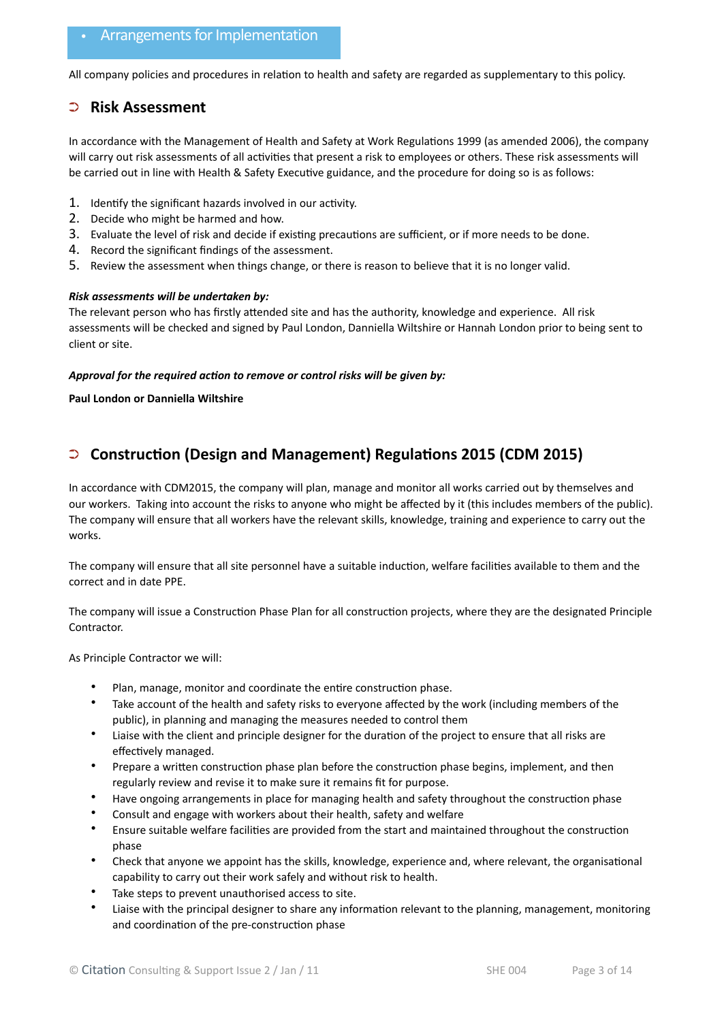#### • Arrangements for Implementation

All company policies and procedures in relation to health and safety are regarded as supplementary to this policy.

#### ➲ **Risk Assessment**

In accordance with the Management of Health and Safety at Work Regulations 1999 (as amended 2006), the company will carry out risk assessments of all activities that present a risk to employees or others. These risk assessments will be carried out in line with Health & Safety Executive guidance, and the procedure for doing so is as follows:

- 1. Identify the significant hazards involved in our activity.
- 2. Decide who might be harmed and how.
- 3. Evaluate the level of risk and decide if existing precautions are sufficient, or if more needs to be done.
- 4. Record the significant findings of the assessment.
- 5. Review the assessment when things change, or there is reason to believe that it is no longer valid.

#### *Risk assessments will be undertaken by:*

The relevant person who has firstly attended site and has the authority, knowledge and experience. All risk assessments will be checked and signed by Paul London, Danniella Wiltshire or Hannah London prior to being sent to client or site.

#### *Approval for the required action to remove or control risks will be given by:*

**Paul London or Danniella Wiltshire**

#### ➲ **Construction (Design and Management) Regulations 2015 (CDM 2015)**

In accordance with CDM2015, the company will plan, manage and monitor all works carried out by themselves and our workers. Taking into account the risks to anyone who might be affected by it (this includes members of the public). The company will ensure that all workers have the relevant skills, knowledge, training and experience to carry out the works.

The company will ensure that all site personnel have a suitable induction, welfare facilities available to them and the correct and in date PPE.

The company will issue a Construction Phase Plan for all construction projects, where they are the designated Principle Contractor.

As Principle Contractor we will:

- Plan, manage, monitor and coordinate the entire construction phase.
- Take account of the health and safety risks to everyone affected by the work (including members of the public), in planning and managing the measures needed to control them
- Liaise with the client and principle designer for the duration of the project to ensure that all risks are effectively managed.
- Prepare a written construction phase plan before the construction phase begins, implement, and then regularly review and revise it to make sure it remains fit for purpose.
- Have ongoing arrangements in place for managing health and safety throughout the construction phase
- Consult and engage with workers about their health, safety and welfare
- Ensure suitable welfare facilities are provided from the start and maintained throughout the construction phase
- Check that anyone we appoint has the skills, knowledge, experience and, where relevant, the organisational capability to carry out their work safely and without risk to health.
- Take steps to prevent unauthorised access to site.
- Liaise with the principal designer to share any information relevant to the planning, management, monitoring and coordination of the pre-construction phase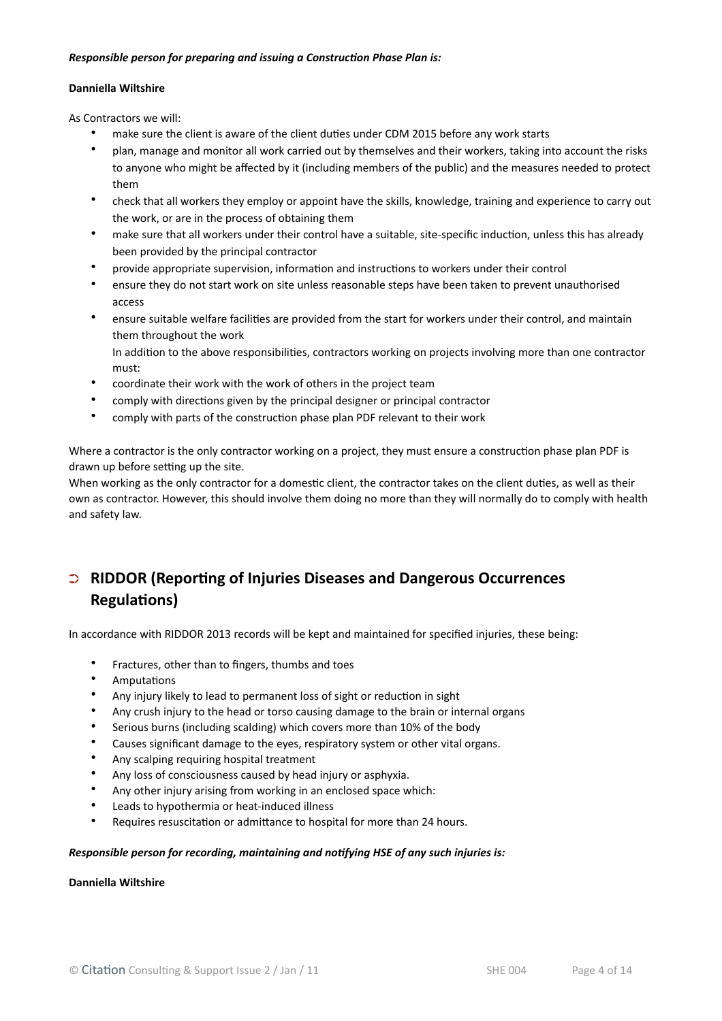#### *Responsible person for preparing and issuing a Construction Phase Plan is:*

#### **Danniella Wiltshire**

As Contractors we will:

- make sure the client is aware of the client duties under CDM 2015 before any work starts
- plan, manage and monitor all work carried out by themselves and their workers, taking into account the risks to anyone who might be affected by it (including members of the public) and the measures needed to protect them
- check that all workers they employ or appoint have the skills, knowledge, training and experience to carry out the work, or are in the process of obtaining them
- make sure that all workers under their control have a suitable, site-specific induction, unless this has already been provided by the principal contractor
- provide appropriate supervision, information and instructions to workers under their control
- ensure they do not start work on site unless reasonable steps have been taken to prevent unauthorised access
- ensure suitable welfare facilities are provided from the start for workers under their control, and maintain them throughout the work

In addition to the above responsibilities, contractors working on projects involving more than one contractor must:

- coordinate their work with the work of others in the project team
- comply with directions given by the principal designer or principal contractor
- comply with parts of the construction phase plan PDF relevant to their work

Where a contractor is the only contractor working on a project, they must ensure a construction phase plan PDF is drawn up before setting up the site.

When working as the only contractor for a domestic client, the contractor takes on the client duties, as well as their own as contractor. However, this should involve them doing no more than they will normally do to comply with health and safety law.

## ➲ **RIDDOR (Reporting of Injuries Diseases and Dangerous Occurrences Regulations)**

In accordance with RIDDOR 2013 records will be kept and maintained for specified injuries, these being:

- Fractures, other than to fingers, thumbs and toes
- Amputations
- Any injury likely to lead to permanent loss of sight or reduction in sight
- Any crush injury to the head or torso causing damage to the brain or internal organs
- Serious burns (including scalding) which covers more than 10% of the body
- Causes significant damage to the eyes, respiratory system or other vital organs.
- Any scalping requiring hospital treatment
- Any loss of consciousness caused by head injury or asphyxia.
- Any other injury arising from working in an enclosed space which:
- Leads to hypothermia or heat-induced illness
- Requires resuscitation or admittance to hospital for more than 24 hours.

#### *Responsible person for recording, maintaining and notifying HSE of any such injuries is:*

#### **Danniella Wiltshire**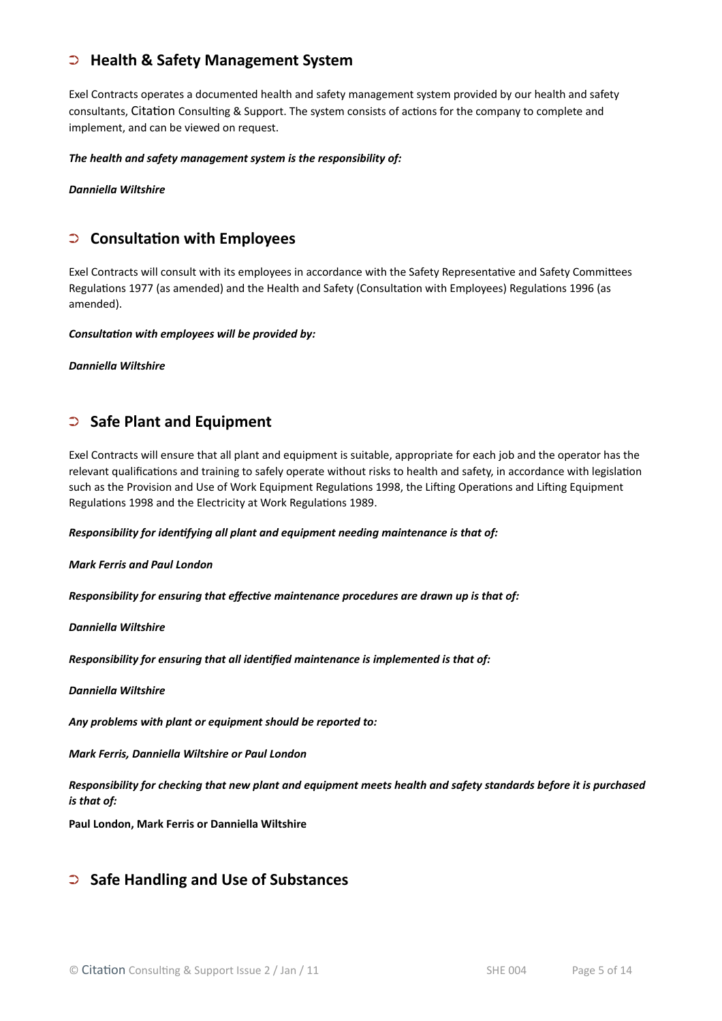#### ➲ **Health & Safety Management System**

Exel Contracts operates a documented health and safety management system provided by our health and safety consultants, Citation Consulting & Support. The system consists of actions for the company to complete and implement, and can be viewed on request.

*The health and safety management system is the responsibility of:*

*Danniella Wiltshire*

#### ➲ **Consultation with Employees**

Exel Contracts will consult with its employees in accordance with the Safety Representative and Safety Committees Regulations 1977 (as amended) and the Health and Safety (Consultation with Employees) Regulations 1996 (as amended).

*Consultation with employees will be provided by:*

*Danniella Wiltshire*

#### ➲ **Safe Plant and Equipment**

Exel Contracts will ensure that all plant and equipment is suitable, appropriate for each job and the operator has the relevant qualifications and training to safely operate without risks to health and safety, in accordance with legislation such as the Provision and Use of Work Equipment Regulations 1998, the Lifting Operations and Lifting Equipment Regulations 1998 and the Electricity at Work Regulations 1989.

*Responsibility for identifying all plant and equipment needing maintenance is that of:* 

*Mark Ferris and Paul London* 

*Responsibility for ensuring that effective maintenance procedures are drawn up is that of:*

*Danniella Wiltshire*

*Responsibility for ensuring that all identified maintenance is implemented is that of:*

*Danniella Wiltshire*

*Any problems with plant or equipment should be reported to:*

*Mark Ferris, Danniella Wiltshire or Paul London* 

*Responsibility for checking that new plant and equipment meets health and safety standards before it is purchased is that of:*

**Paul London, Mark Ferris or Danniella Wiltshire**

#### ➲ **Safe Handling and Use of Substances**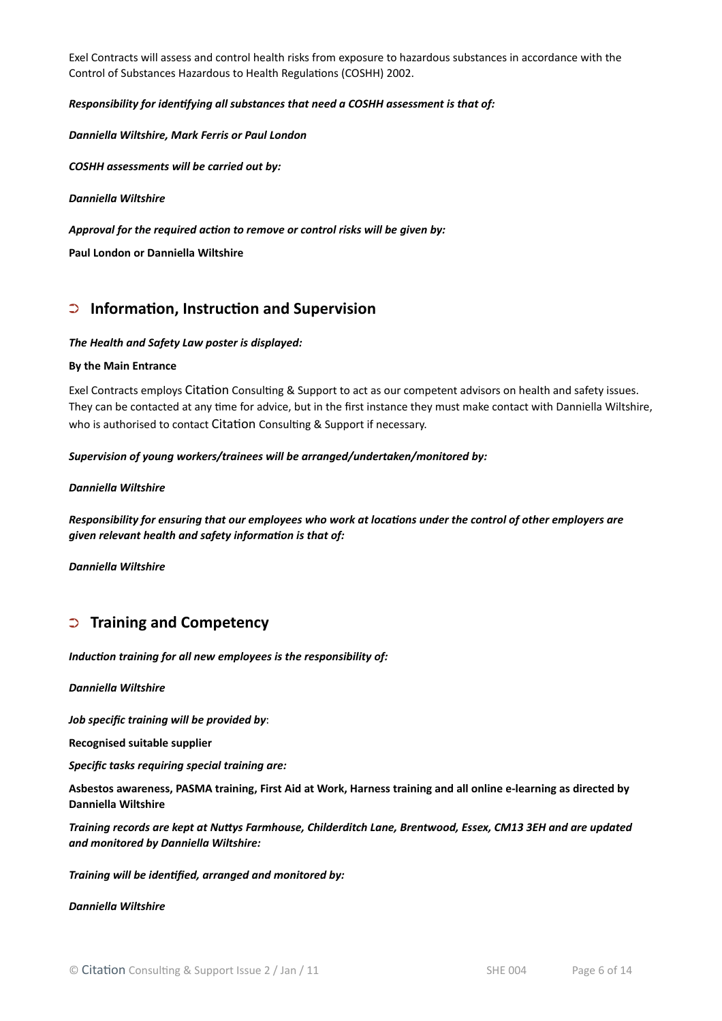Exel Contracts will assess and control health risks from exposure to hazardous substances in accordance with the Control of Substances Hazardous to Health Regulations (COSHH) 2002.

#### *Responsibility for identifying all substances that need a COSHH assessment is that of:*

*Danniella Wiltshire, Mark Ferris or Paul London*

*COSHH assessments will be carried out by:*

*Danniella Wiltshire* 

*Approval for the required action to remove or control risks will be given by:*

**Paul London or Danniella Wiltshire**

#### ➲ **Information, Instruction and Supervision**

#### *The Health and Safety Law poster is displayed:*

#### **By the Main Entrance**

Exel Contracts employs Citation Consulting & Support to act as our competent advisors on health and safety issues. They can be contacted at any time for advice, but in the first instance they must make contact with Danniella Wiltshire, who is authorised to contact Citation Consulting & Support if necessary.

*Supervision of young workers/trainees will be arranged/undertaken/monitored by:*

#### *Danniella Wiltshire*

*Responsibility for ensuring that our employees who work at locations under the control of other employers are given relevant health and safety information is that of:*

*Danniella Wiltshire*

#### ➲ **Training and Competency**

*Induction training for all new employees is the responsibility of:*

*Danniella Wiltshire*

*Job specific training will be provided by*:

**Recognised suitable supplier**

*Specific tasks requiring special training are:*

**Asbestos awareness, PASMA training, First Aid at Work, Harness training and all online e-learning as directed by Danniella Wiltshire**

*Training records are kept at Nuttys Farmhouse, Childerditch Lane, Brentwood, Essex, CM13 3EH and are updated and monitored by Danniella Wiltshire:*

*Training will be identified, arranged and monitored by:*

*Danniella Wiltshire*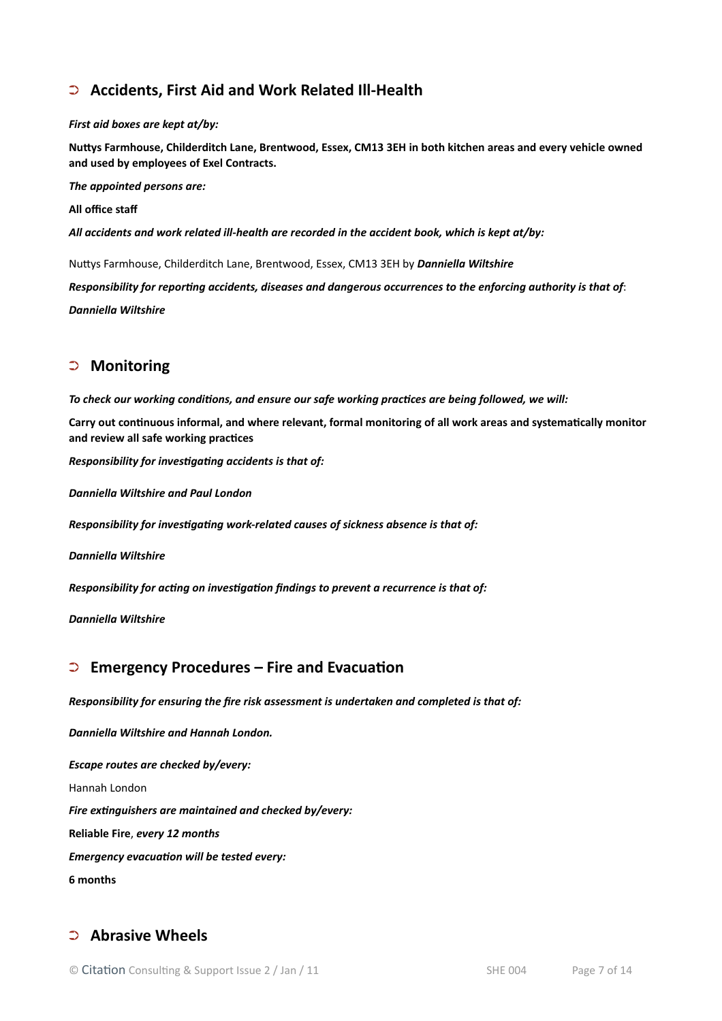## ➲ **Accidents, First Aid and Work Related Ill-Health**

#### *First aid boxes are kept at/by:*

**Nuttys Farmhouse, Childerditch Lane, Brentwood, Essex, CM13 3EH in both kitchen areas and every vehicle owned and used by employees of Exel Contracts.**

*The appointed persons are:* 

**All office staf**

*All accidents and work related ill-health are recorded in the accident book, which is kept at/by:*

Nuttys Farmhouse, Childerditch Lane, Brentwood, Essex, CM13 3EH by *Danniella Wiltshire*

*Responsibility for reporting accidents, diseases and dangerous occurrences to the enforcing authority is that of*: *Danniella Wiltshire*

#### ➲ **Monitoring**

*To check our working conditions, and ensure our safe working practices are being followed, we will:*

**Carry out continuous informal, and where relevant, formal monitoring of all work areas and systematically monitor and review all safe working practices**

*Responsibility for investigating accidents is that of:*

*Danniella Wiltshire and Paul London*

*Responsibility for investigating work-related causes of sickness absence is that of:*

*Danniella Wiltshire*

*Responsibility for acting on investigation findings to prevent a recurrence is that of:*

*Danniella Wiltshire*

#### ➲ **Emergency Procedures – Fire and Evacuation**

*Responsibility for ensuring the fire risk assessment is undertaken and completed is that of:*

*Danniella Wiltshire and Hannah London.*

*Escape routes are checked by/every:* Hannah London *Fire extinguishers are maintained and checked by/every:* **Reliable Fire**, *every 12 months Emergency evacuation will be tested every:* **6 months**

#### ➲ **Abrasive Wheels**

© Citation Consulting & Support Issue 2 / Jan / 11 SHE 004 Page 7 of 14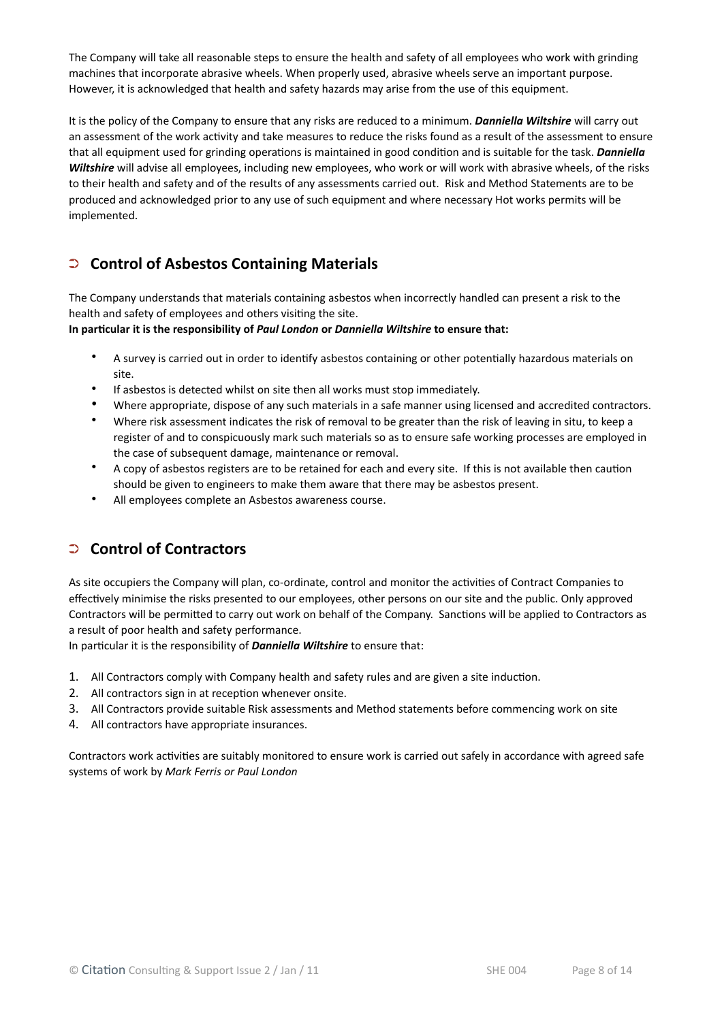The Company will take all reasonable steps to ensure the health and safety of all employees who work with grinding machines that incorporate abrasive wheels. When properly used, abrasive wheels serve an important purpose. However, it is acknowledged that health and safety hazards may arise from the use of this equipment.

It is the policy of the Company to ensure that any risks are reduced to a minimum. *Danniella Wiltshire* will carry out an assessment of the work activity and take measures to reduce the risks found as a result of the assessment to ensure that all equipment used for grinding operations is maintained in good condition and is suitable for the task. *Danniella Wiltshire* will advise all employees, including new employees, who work or will work with abrasive wheels, of the risks to their health and safety and of the results of any assessments carried out. Risk and Method Statements are to be produced and acknowledged prior to any use of such equipment and where necessary Hot works permits will be implemented.

## ➲ **Control of Asbestos Containing Materials**

The Company understands that materials containing asbestos when incorrectly handled can present a risk to the health and safety of employees and others visiting the site.

**In particular it is the responsibility of** *Paul London* **or** *Danniella Wiltshire* **to ensure that:**

- A survey is carried out in order to identify asbestos containing or other potentially hazardous materials on site.
- If asbestos is detected whilst on site then all works must stop immediately.
- Where appropriate, dispose of any such materials in a safe manner using licensed and accredited contractors.
- Where risk assessment indicates the risk of removal to be greater than the risk of leaving in situ, to keep a register of and to conspicuously mark such materials so as to ensure safe working processes are employed in the case of subsequent damage, maintenance or removal.
- A copy of asbestos registers are to be retained for each and every site. If this is not available then caution should be given to engineers to make them aware that there may be asbestos present.
- All employees complete an Asbestos awareness course.

## ➲ **Control of Contractors**

As site occupiers the Company will plan, co-ordinate, control and monitor the activities of Contract Companies to effectively minimise the risks presented to our employees, other persons on our site and the public. Only approved Contractors will be permitted to carry out work on behalf of the Company. Sanctions will be applied to Contractors as a result of poor health and safety performance.

In particular it is the responsibility of *Danniella Wiltshire* to ensure that:

- 1. All Contractors comply with Company health and safety rules and are given a site induction.
- 2. All contractors sign in at reception whenever onsite.
- 3. All Contractors provide suitable Risk assessments and Method statements before commencing work on site
- 4. All contractors have appropriate insurances.

Contractors work activities are suitably monitored to ensure work is carried out safely in accordance with agreed safe systems of work by *Mark Ferris or Paul London*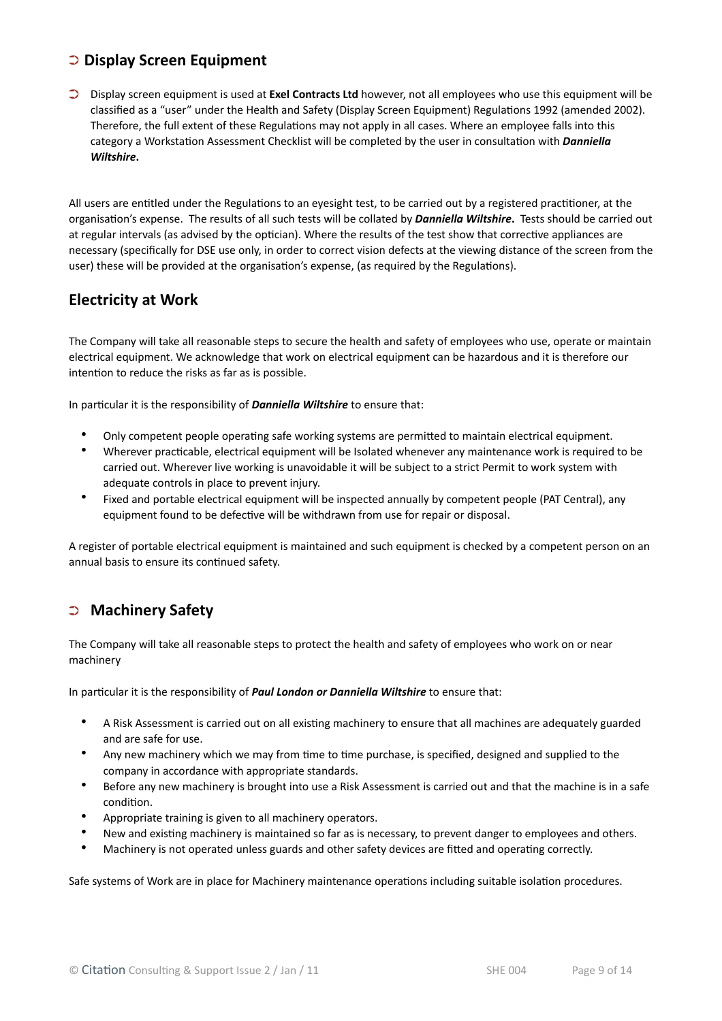#### ➲ **Display Screen Equipment**

➲ Display screen equipment is used at **Exel Contracts Ltd** however, not all employees who use this equipment will be classified as a "user" under the Health and Safety (Display Screen Equipment) Regulations 1992 (amended 2002). Therefore, the full extent of these Regulations may not apply in all cases. Where an employee falls into this category a Workstation Assessment Checklist will be completed by the user in consultation with *Danniella Wiltshire***.** 

All users are entitled under the Regulations to an eyesight test, to be carried out by a registered practitioner, at the organisation's expense. The results of all such tests will be collated by *Danniella Wiltshire***.** Tests should be carried out at regular intervals (as advised by the optician). Where the results of the test show that corrective appliances are necessary (specifically for DSE use only, in order to correct vision defects at the viewing distance of the screen from the user) these will be provided at the organisation's expense, (as required by the Regulations).

#### **Electricity at Work**

The Company will take all reasonable steps to secure the health and safety of employees who use, operate or maintain electrical equipment. We acknowledge that work on electrical equipment can be hazardous and it is therefore our intention to reduce the risks as far as is possible.

In particular it is the responsibility of *Danniella Wiltshire* to ensure that:

- Only competent people operating safe working systems are permitted to maintain electrical equipment.
- Wherever practicable, electrical equipment will be Isolated whenever any maintenance work is required to be carried out. Wherever live working is unavoidable it will be subject to a strict Permit to work system with adequate controls in place to prevent injury.
- Fixed and portable electrical equipment will be inspected annually by competent people (PAT Central), any equipment found to be defective will be withdrawn from use for repair or disposal.

A register of portable electrical equipment is maintained and such equipment is checked by a competent person on an annual basis to ensure its continued safety.

#### ➲ **Machinery Safety**

The Company will take all reasonable steps to protect the health and safety of employees who work on or near machinery

In particular it is the responsibility of *Paul London or Danniella Wiltshire* to ensure that:

- A Risk Assessment is carried out on all existing machinery to ensure that all machines are adequately guarded and are safe for use.
- Any new machinery which we may from time to time purchase, is specified, designed and supplied to the company in accordance with appropriate standards.
- Before any new machinery is brought into use a Risk Assessment is carried out and that the machine is in a safe condition.
- Appropriate training is given to all machinery operators.
- New and existing machinery is maintained so far as is necessary, to prevent danger to employees and others.
- Machinery is not operated unless guards and other safety devices are fitted and operating correctly.

Safe systems of Work are in place for Machinery maintenance operations including suitable isolation procedures.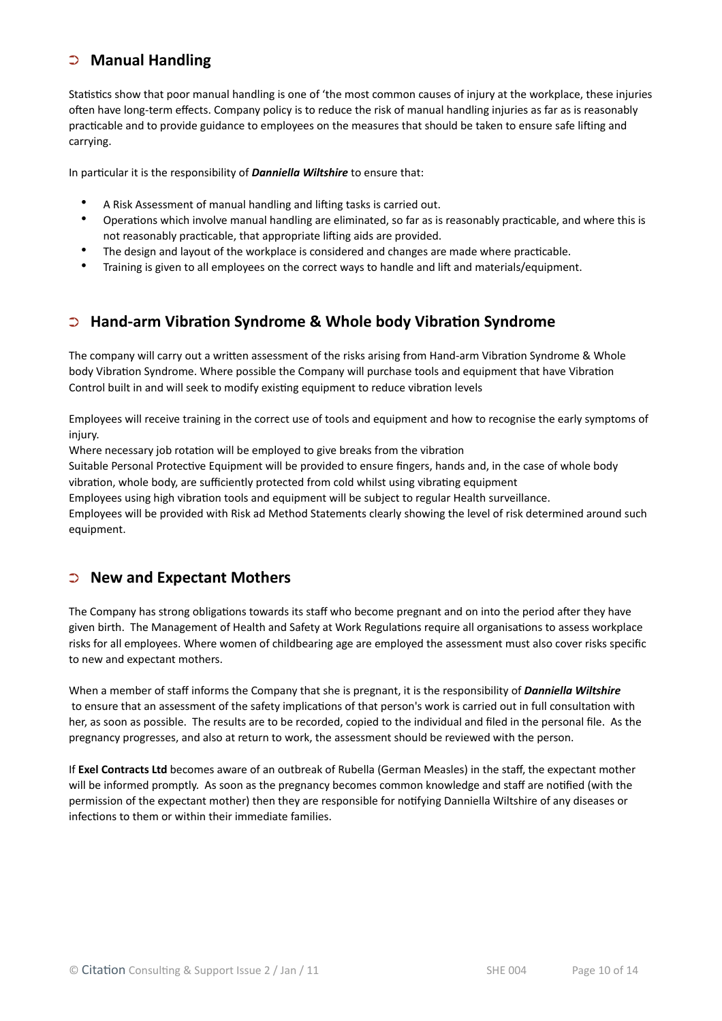## ➲ **Manual Handling**

Statistics show that poor manual handling is one of 'the most common causes of injury at the workplace, these injuries often have long-term effects. Company policy is to reduce the risk of manual handling injuries as far as is reasonably practicable and to provide guidance to employees on the measures that should be taken to ensure safe lifting and carrying.

In particular it is the responsibility of *Danniella Wiltshire* to ensure that:

- A Risk Assessment of manual handling and lifting tasks is carried out.
- Operations which involve manual handling are eliminated, so far as is reasonably practicable, and where this is not reasonably practicable, that appropriate lifting aids are provided.
- The design and layout of the workplace is considered and changes are made where practicable.
- Training is given to all employees on the correct ways to handle and lift and materials/equipment.

## ➲ **Hand-arm Vibration Syndrome & Whole body Vibration Syndrome**

The company will carry out a written assessment of the risks arising from Hand-arm Vibration Syndrome & Whole body Vibration Syndrome. Where possible the Company will purchase tools and equipment that have Vibration Control built in and will seek to modify existing equipment to reduce vibration levels

Employees will receive training in the correct use of tools and equipment and how to recognise the early symptoms of injury.

Where necessary job rotation will be employed to give breaks from the vibration

Suitable Personal Protective Equipment will be provided to ensure fingers, hands and, in the case of whole body vibration, whole body, are sufficiently protected from cold whilst using vibrating equipment

Employees using high vibration tools and equipment will be subject to regular Health surveillance. Employees will be provided with Risk ad Method Statements clearly showing the level of risk determined around such equipment.

#### ➲ **New and Expectant Mothers**

The Company has strong obligations towards its staff who become pregnant and on into the period after they have given birth. The Management of Health and Safety at Work Regulations require all organisations to assess workplace risks for all employees. Where women of childbearing age are employed the assessment must also cover risks specific to new and expectant mothers.

When a member of staff informs the Company that she is pregnant, it is the responsibility of *Danniella Wiltshire* to ensure that an assessment of the safety implications of that person's work is carried out in full consultation with her, as soon as possible. The results are to be recorded, copied to the individual and filed in the personal file. As the pregnancy progresses, and also at return to work, the assessment should be reviewed with the person.

If **Exel Contracts Ltd** becomes aware of an outbreak of Rubella (German Measles) in the staff, the expectant mother will be informed promptly. As soon as the pregnancy becomes common knowledge and staff are notified (with the permission of the expectant mother) then they are responsible for notifying Danniella Wiltshire of any diseases or infections to them or within their immediate families.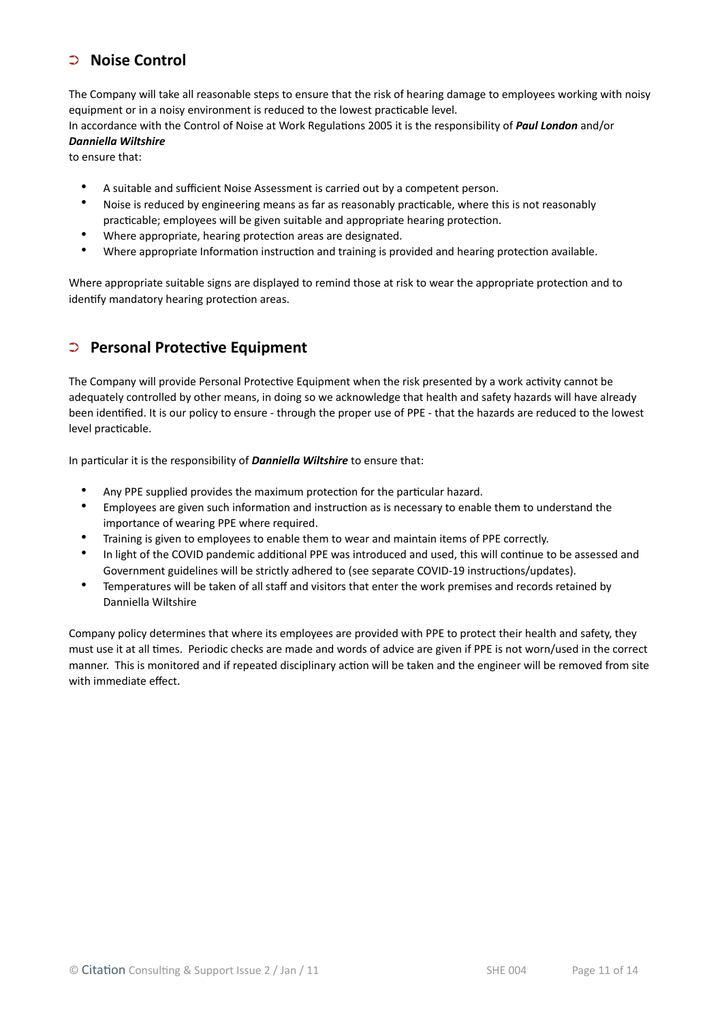### ➲ **Noise Control**

The Company will take all reasonable steps to ensure that the risk of hearing damage to employees working with noisy equipment or in a noisy environment is reduced to the lowest practicable level.

In accordance with the Control of Noise at Work Regulations 2005 it is the responsibility of *Paul London* and/or *Danniella Wiltshire*

to ensure that:

- A suitable and sufficient Noise Assessment is carried out by a competent person.
- Noise is reduced by engineering means as far as reasonably practicable, where this is not reasonably practicable; employees will be given suitable and appropriate hearing protection.
- Where appropriate, hearing protection areas are designated.
- Where appropriate Information instruction and training is provided and hearing protection available.

Where appropriate suitable signs are displayed to remind those at risk to wear the appropriate protection and to identify mandatory hearing protection areas.

## ➲ **Personal Protective Equipment**

The Company will provide Personal Protective Equipment when the risk presented by a work activity cannot be adequately controlled by other means, in doing so we acknowledge that health and safety hazards will have already been identified. It is our policy to ensure - through the proper use of PPE - that the hazards are reduced to the lowest level practicable.

In particular it is the responsibility of *Danniella Wiltshire* to ensure that:

- Any PPE supplied provides the maximum protection for the particular hazard.
- Employees are given such information and instruction as is necessary to enable them to understand the importance of wearing PPE where required.
- Training is given to employees to enable them to wear and maintain items of PPE correctly.
- In light of the COVID pandemic additional PPE was introduced and used, this will continue to be assessed and Government guidelines will be strictly adhered to (see separate COVID-19 instructions/updates).
- Temperatures will be taken of all staff and visitors that enter the work premises and records retained by Danniella Wiltshire

Company policy determines that where its employees are provided with PPE to protect their health and safety, they must use it at all times. Periodic checks are made and words of advice are given if PPE is not worn/used in the correct manner. This is monitored and if repeated disciplinary action will be taken and the engineer will be removed from site with immediate effect.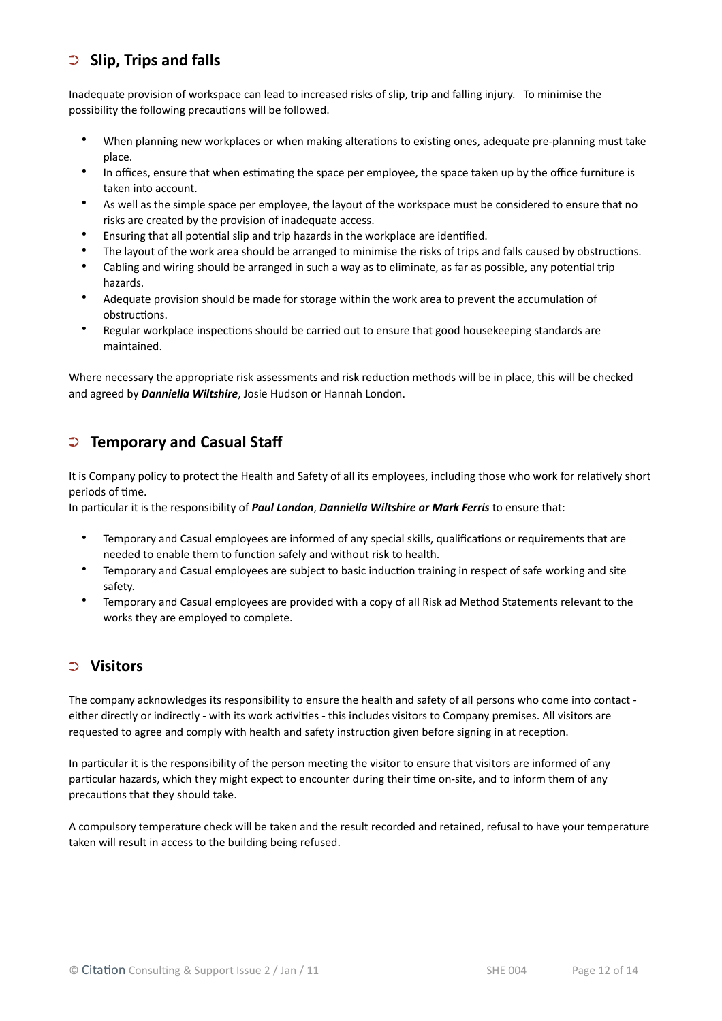## ➲ **Slip, Trips and falls**

Inadequate provision of workspace can lead to increased risks of slip, trip and falling injury. To minimise the possibility the following precautions will be followed.

- When planning new workplaces or when making alterations to existing ones, adequate pre-planning must take place.
- In offices, ensure that when estimating the space per employee, the space taken up by the office furniture is taken into account.
- As well as the simple space per employee, the layout of the workspace must be considered to ensure that no risks are created by the provision of inadequate access.
- Ensuring that all potential slip and trip hazards in the workplace are identified.
- The layout of the work area should be arranged to minimise the risks of trips and falls caused by obstructions.
- Cabling and wiring should be arranged in such a way as to eliminate, as far as possible, any potential trip hazards.
- Adequate provision should be made for storage within the work area to prevent the accumulation of obstructions.
- Regular workplace inspections should be carried out to ensure that good housekeeping standards are maintained.

Where necessary the appropriate risk assessments and risk reduction methods will be in place, this will be checked and agreed by *Danniella Wiltshire*, Josie Hudson or Hannah London.

## ➲ **Temporary and Casual Staff**

It is Company policy to protect the Health and Safety of all its employees, including those who work for relatively short periods of time.

In particular it is the responsibility of *Paul London*, *Danniella Wiltshire or Mark Ferris* to ensure that:

- Temporary and Casual employees are informed of any special skills, qualifications or requirements that are needed to enable them to function safely and without risk to health.
- Temporary and Casual employees are subject to basic induction training in respect of safe working and site safety.
- Temporary and Casual employees are provided with a copy of all Risk ad Method Statements relevant to the works they are employed to complete.

#### ➲ **Visitors**

The company acknowledges its responsibility to ensure the health and safety of all persons who come into contact either directly or indirectly - with its work activities - this includes visitors to Company premises. All visitors are requested to agree and comply with health and safety instruction given before signing in at reception.

In particular it is the responsibility of the person meeting the visitor to ensure that visitors are informed of any particular hazards, which they might expect to encounter during their time on-site, and to inform them of any precautions that they should take.

A compulsory temperature check will be taken and the result recorded and retained, refusal to have your temperature taken will result in access to the building being refused.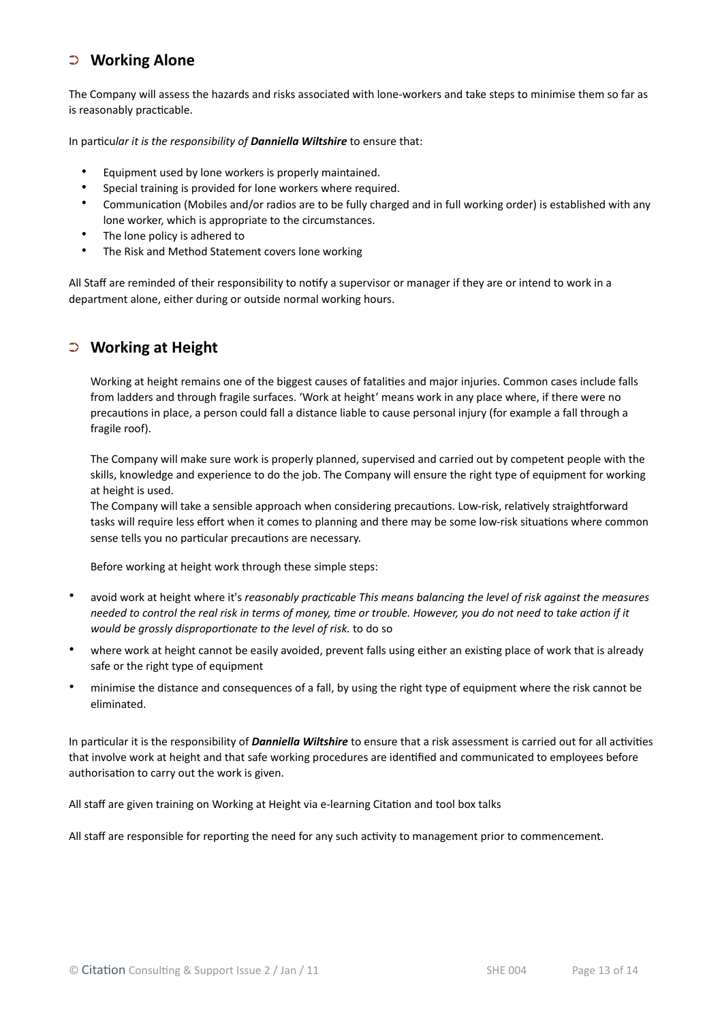#### ➲ **Working Alone**

The Company will assess the hazards and risks associated with lone-workers and take steps to minimise them so far as is reasonably practicable.

In particu*lar it is the responsibility of Danniella Wiltshire* to ensure that:

- Equipment used by lone workers is properly maintained.
- Special training is provided for lone workers where required.
- Communication (Mobiles and/or radios are to be fully charged and in full working order) is established with any lone worker, which is appropriate to the circumstances.
- The lone policy is adhered to
- The Risk and Method Statement covers lone working

All Staff are reminded of their responsibility to notify a supervisor or manager if they are or intend to work in a department alone, either during or outside normal working hours.

#### ➲ **Working at Height**

Working at height remains one of the biggest causes of fatalities and major injuries. Common cases include falls from ladders and through fragile surfaces. 'Work at height' means work in any place where, if there were no precautions in place, a person could fall a distance liable to cause personal injury (for example a fall through a fragile roof).

The Company will make sure work is properly planned, supervised and carried out by competent people with the skills, knowledge and experience to do the job. The Company will ensure the right type of equipment for working at height is used.

The Company will take a sensible approach when considering precautions. Low-risk, relatively straightforward tasks will require less effort when it comes to planning and there may be some low-risk situations where common sense tells you no particular precautions are necessary.

Before working at height work through these simple steps:

- avoid work at height where it's *reasonably practicable This means balancing the level of risk against the measures needed to control the real risk in terms of money, time or trouble. However, you do not need to take action if it would be grossly disproportionate to the level of risk.* to do so
- where work at height cannot be easily avoided, prevent falls using either an existing place of work that is already safe or the right type of equipment
- minimise the distance and consequences of a fall, by using the right type of equipment where the risk cannot be eliminated.

In particular it is the responsibility of *Danniella Wiltshire* to ensure that a risk assessment is carried out for all activities that involve work at height and that safe working procedures are identified and communicated to employees before authorisation to carry out the work is given.

All staff are given training on Working at Height via e-learning Citation and tool box talks

All staff are responsible for reporting the need for any such activity to management prior to commencement.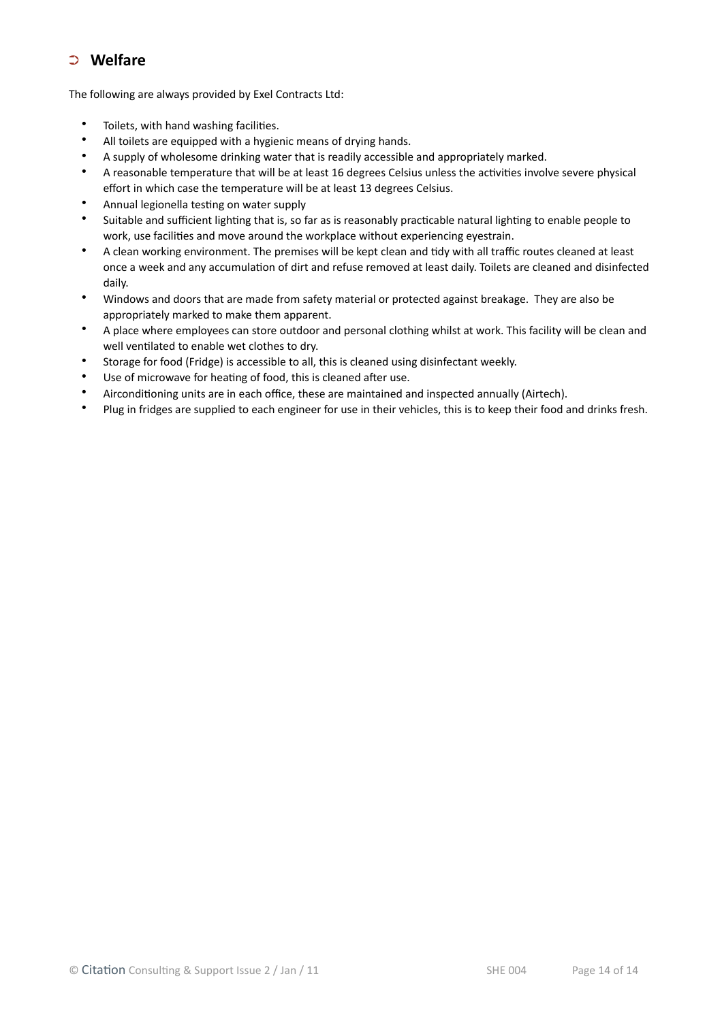## ➲ **Welfare**

The following are always provided by Exel Contracts Ltd:

- Toilets, with hand washing facilities.
- All toilets are equipped with a hygienic means of drying hands.
- A supply of wholesome drinking water that is readily accessible and appropriately marked.
- A reasonable temperature that will be at least 16 degrees Celsius unless the activities involve severe physical effort in which case the temperature will be at least 13 degrees Celsius.
- Annual legionella testing on water supply
- Suitable and sufficient lighting that is, so far as is reasonably practicable natural lighting to enable people to work, use facilities and move around the workplace without experiencing eyestrain.
- A clean working environment. The premises will be kept clean and tidy with all traffic routes cleaned at least once a week and any accumulation of dirt and refuse removed at least daily. Toilets are cleaned and disinfected daily.
- Windows and doors that are made from safety material or protected against breakage. They are also be appropriately marked to make them apparent.
- A place where employees can store outdoor and personal clothing whilst at work. This facility will be clean and well ventilated to enable wet clothes to dry.
- Storage for food (Fridge) is accessible to all, this is cleaned using disinfectant weekly.
- Use of microwave for heating of food, this is cleaned after use.
- Airconditioning units are in each office, these are maintained and inspected annually (Airtech).
- Plug in fridges are supplied to each engineer for use in their vehicles, this is to keep their food and drinks fresh.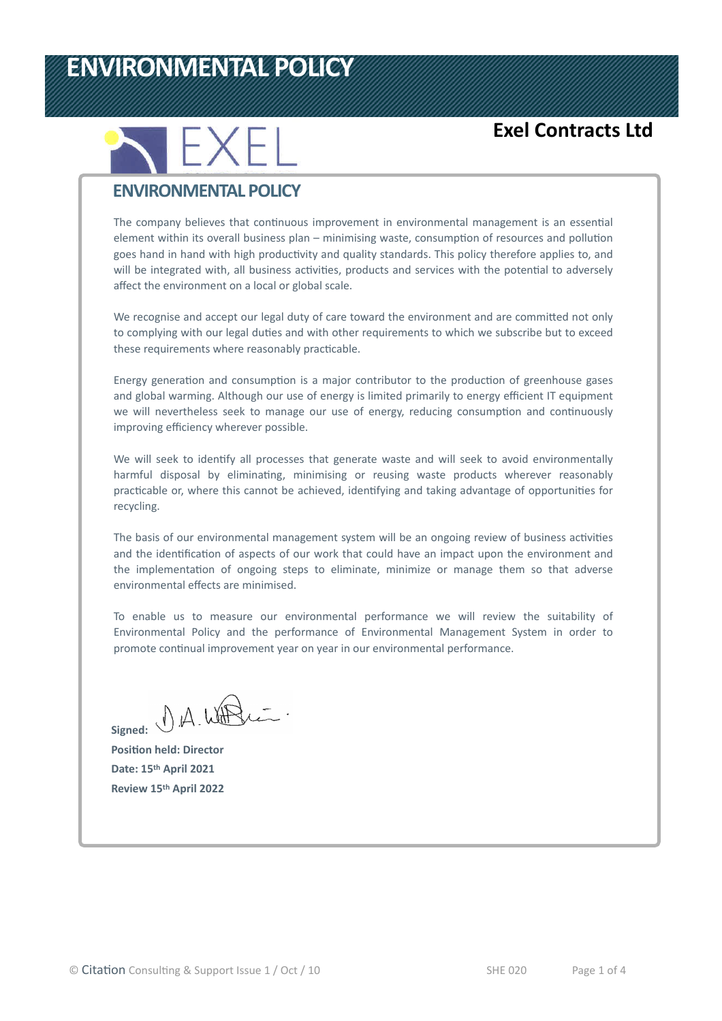# **ENVIRONMENTAL POLICY**



## **Exel Contracts Ltd**

## **ENVIRONMENTAL POLICY**

The company believes that continuous improvement in environmental management is an essential element within its overall business plan – minimising waste, consumption of resources and pollution goes hand in hand with high productivity and quality standards. This policy therefore applies to, and will be integrated with, all business activities, products and services with the potential to adversely affect the environment on a local or global scale.

We recognise and accept our legal duty of care toward the environment and are committed not only to complying with our legal duties and with other requirements to which we subscribe but to exceed these requirements where reasonably practicable.

Energy generation and consumption is a major contributor to the production of greenhouse gases and global warming. Although our use of energy is limited primarily to energy efficient IT equipment we will nevertheless seek to manage our use of energy, reducing consumption and continuously improving efficiency wherever possible.

We will seek to identify all processes that generate waste and will seek to avoid environmentally harmful disposal by eliminating, minimising or reusing waste products wherever reasonably practicable or, where this cannot be achieved, identifying and taking advantage of opportunities for recycling.

The basis of our environmental management system will be an ongoing review of business activities and the identification of aspects of our work that could have an impact upon the environment and the implementation of ongoing steps to eliminate, minimize or manage them so that adverse environmental effects are minimised.

To enable us to measure our environmental performance we will review the suitability of Environmental Policy and the performance of Environmental Management System in order to promote continual improvement year on year in our environmental performance.

Signed: UA. WHO

**Position held: Director Date: 15th April 2021 Review 15th April 2022**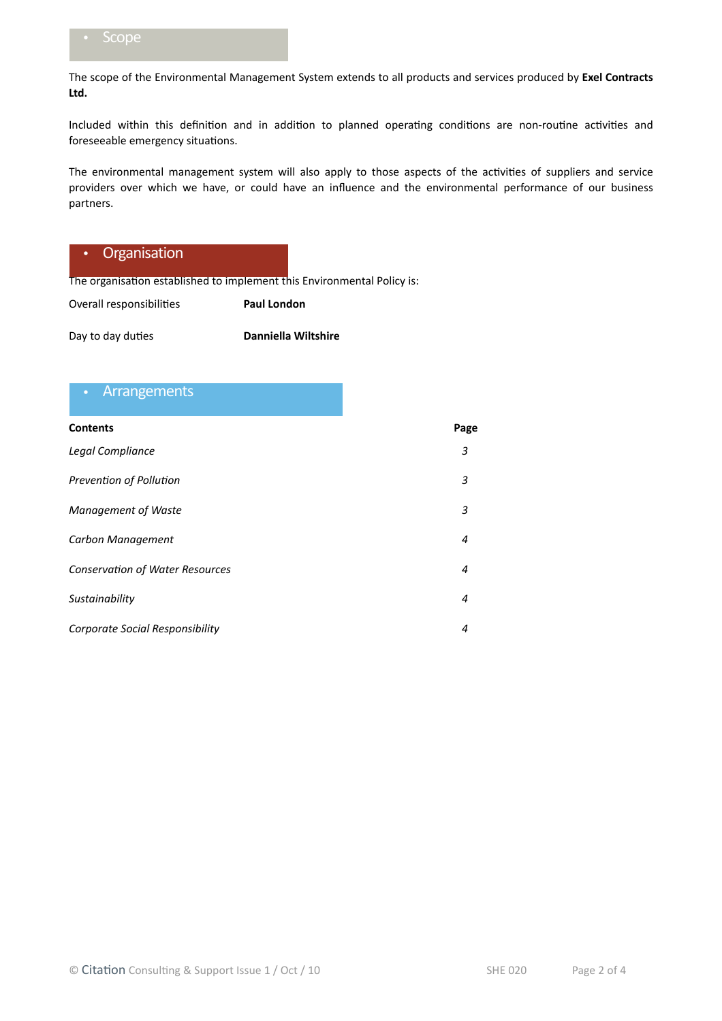The scope of the Environmental Management System extends to all products and services produced by **Exel Contracts Ltd.**

Included within this definition and in addition to planned operating conditions are non-routine activities and foreseeable emergency situations.

The environmental management system will also apply to those aspects of the activities of suppliers and service providers over which we have, or could have an influence and the environmental performance of our business partners.

#### • Organisation

The organisation established to implement this Environmental Policy is:

Overall responsibilities **Paul London**

Day to day duties **Danniella Wiltshire**

#### **Arrangements**

| <b>Contents</b>                        | Page           |
|----------------------------------------|----------------|
| Legal Compliance                       | 3              |
| Prevention of Pollution                | 3              |
| <b>Management of Waste</b>             | 3              |
| Carbon Management                      | $\overline{4}$ |
| <b>Conservation of Water Resources</b> | $\overline{4}$ |
| Sustainability                         | 4              |
| Corporate Social Responsibility        | 4              |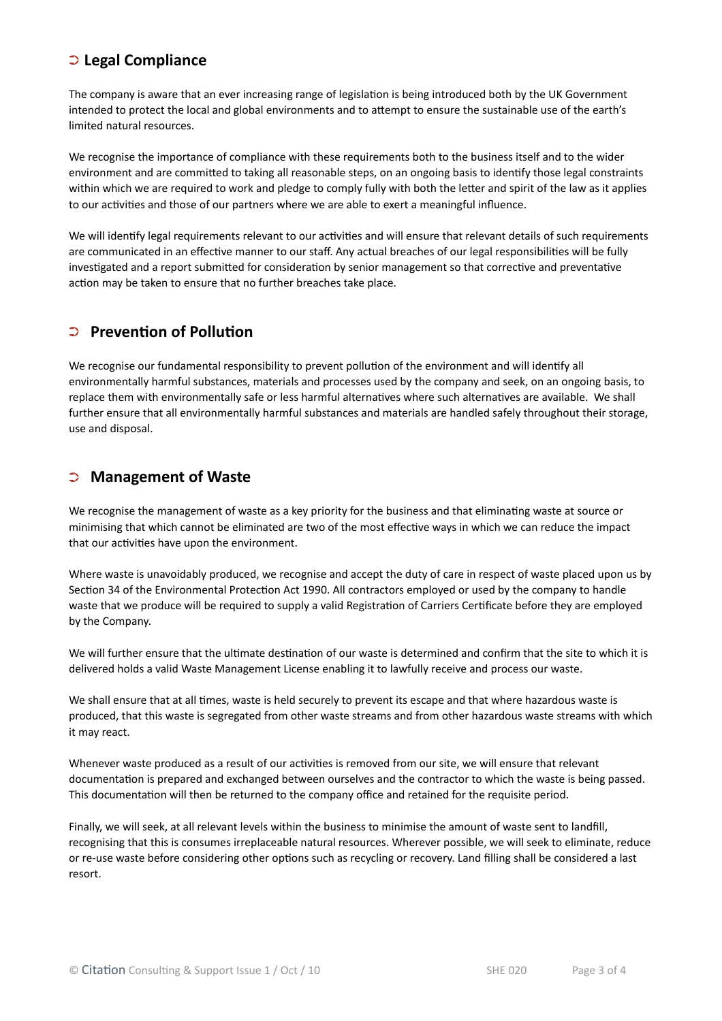#### ➲ **Legal Compliance**

The company is aware that an ever increasing range of legislation is being introduced both by the UK Government intended to protect the local and global environments and to attempt to ensure the sustainable use of the earth's limited natural resources.

We recognise the importance of compliance with these requirements both to the business itself and to the wider environment and are committed to taking all reasonable steps, on an ongoing basis to identify those legal constraints within which we are required to work and pledge to comply fully with both the letter and spirit of the law as it applies to our activities and those of our partners where we are able to exert a meaningful influence.

We will identify legal requirements relevant to our activities and will ensure that relevant details of such requirements are communicated in an effective manner to our staff. Any actual breaches of our legal responsibilities will be fully investigated and a report submitted for consideration by senior management so that corrective and preventative action may be taken to ensure that no further breaches take place.

## ➲ **Prevention of Pollution**

We recognise our fundamental responsibility to prevent pollution of the environment and will identify all environmentally harmful substances, materials and processes used by the company and seek, on an ongoing basis, to replace them with environmentally safe or less harmful alternatives where such alternatives are available. We shall further ensure that all environmentally harmful substances and materials are handled safely throughout their storage, use and disposal.

#### ➲ **Management of Waste**

We recognise the management of waste as a key priority for the business and that eliminating waste at source or minimising that which cannot be eliminated are two of the most effective ways in which we can reduce the impact that our activities have upon the environment.

Where waste is unavoidably produced, we recognise and accept the duty of care in respect of waste placed upon us by Section 34 of the Environmental Protection Act 1990. All contractors employed or used by the company to handle waste that we produce will be required to supply a valid Registration of Carriers Certificate before they are employed by the Company.

We will further ensure that the ultimate destination of our waste is determined and confirm that the site to which it is delivered holds a valid Waste Management License enabling it to lawfully receive and process our waste.

We shall ensure that at all times, waste is held securely to prevent its escape and that where hazardous waste is produced, that this waste is segregated from other waste streams and from other hazardous waste streams with which it may react.

Whenever waste produced as a result of our activities is removed from our site, we will ensure that relevant documentation is prepared and exchanged between ourselves and the contractor to which the waste is being passed. This documentation will then be returned to the company office and retained for the requisite period.

Finally, we will seek, at all relevant levels within the business to minimise the amount of waste sent to landfill, recognising that this is consumes irreplaceable natural resources. Wherever possible, we will seek to eliminate, reduce or re-use waste before considering other options such as recycling or recovery. Land filling shall be considered a last resort.